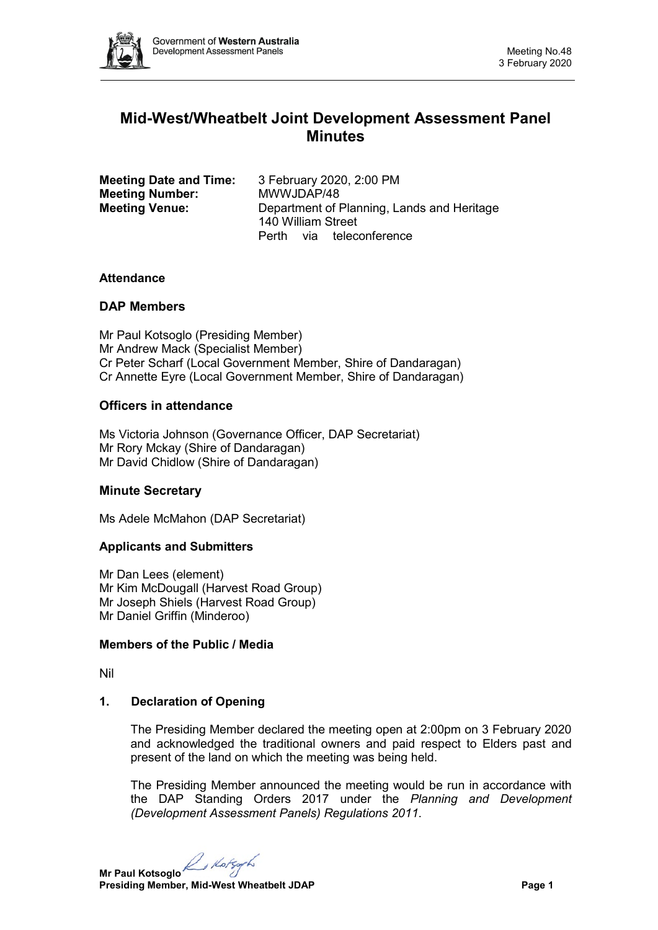

# **Mid-West/Wheatbelt Joint Development Assessment Panel Minutes**

| <b>Meeting Date and Time:</b> | 3 February 2020, 2:00 PM                   |
|-------------------------------|--------------------------------------------|
| <b>Meeting Number:</b>        | MWWJDAP/48                                 |
| <b>Meeting Venue:</b>         | Department of Planning, Lands and Heritage |
|                               | 140 William Street                         |
|                               | Perth via teleconference                   |

#### **Attendance**

#### **DAP Members**

Mr Paul Kotsoglo (Presiding Member) Mr Andrew Mack (Specialist Member) Cr Peter Scharf (Local Government Member, Shire of Dandaragan) Cr Annette Eyre (Local Government Member, Shire of Dandaragan)

# **Officers in attendance**

Ms Victoria Johnson (Governance Officer, DAP Secretariat) Mr Rory Mckay (Shire of Dandaragan) Mr David Chidlow (Shire of Dandaragan)

# **Minute Secretary**

Ms Adele McMahon (DAP Secretariat)

# **Applicants and Submitters**

Mr Dan Lees (element) Mr Kim McDougall (Harvest Road Group) Mr Joseph Shiels (Harvest Road Group) Mr Daniel Griffin (Minderoo)

#### **Members of the Public / Media**

Nil

# **1. Declaration of Opening**

The Presiding Member declared the meeting open at 2:00pm on 3 February 2020 and acknowledged the traditional owners and paid respect to Elders past and present of the land on which the meeting was being held.

The Presiding Member announced the meeting would be run in accordance with the DAP Standing Orders 2017 under the *Planning and Development (Development Assessment Panels) Regulations 2011*.

**Mr Paul Kotsoglo**<br>Presiding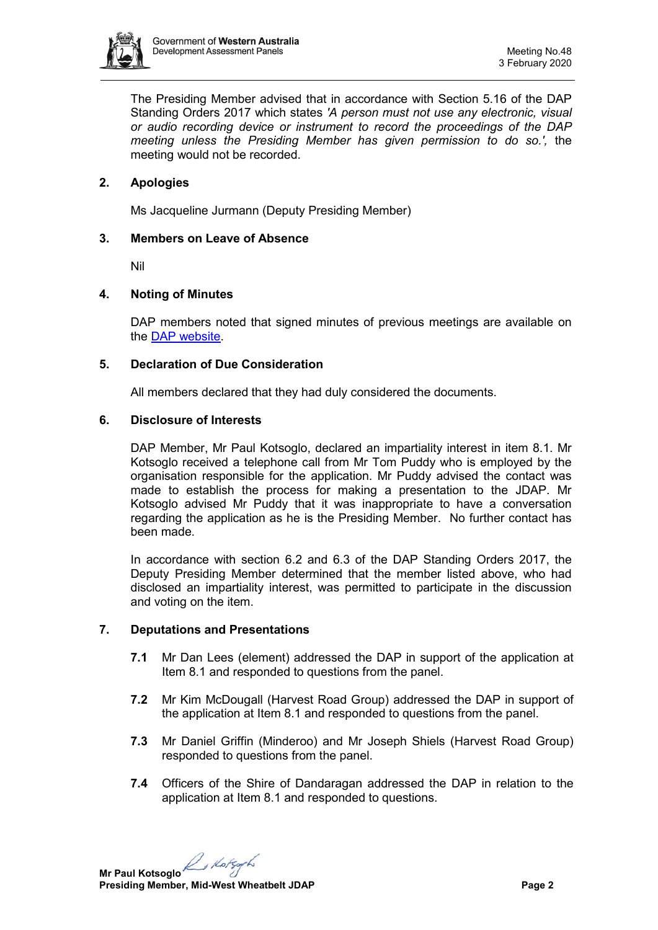

The Presiding Member advised that in accordance with Section 5.16 of the DAP Standing Orders 2017 which states *'A person must not use any electronic, visual or audio recording device or instrument to record the proceedings of the DAP meeting unless the Presiding Member has given permission to do so.',* the meeting would not be recorded.

# **2. Apologies**

Ms Jacqueline Jurmann (Deputy Presiding Member)

#### **3. Members on Leave of Absence**

Nil

# **4. Noting of Minutes**

DAP members noted that signed minutes of previous meetings are available on the [DAP website.](https://www.dplh.wa.gov.au/about/development-assessment-panels/daps-agendas-and-minutes)

#### **5. Declaration of Due Consideration**

All members declared that they had duly considered the documents.

#### **6. Disclosure of Interests**

DAP Member, Mr Paul Kotsoglo, declared an impartiality interest in item 8.1. Mr Kotsoglo received a telephone call from Mr Tom Puddy who is employed by the organisation responsible for the application. Mr Puddy advised the contact was made to establish the process for making a presentation to the JDAP. Mr Kotsoglo advised Mr Puddy that it was inappropriate to have a conversation regarding the application as he is the Presiding Member. No further contact has been made.

In accordance with section 6.2 and 6.3 of the DAP Standing Orders 2017, the Deputy Presiding Member determined that the member listed above, who had disclosed an impartiality interest, was permitted to participate in the discussion and voting on the item.

# **7. Deputations and Presentations**

- **7.1** Mr Dan Lees (element) addressed the DAP in support of the application at Item 8.1 and responded to questions from the panel.
- **7.2** Mr Kim McDougall (Harvest Road Group) addressed the DAP in support of the application at Item 8.1 and responded to questions from the panel.
- **7.3** Mr Daniel Griffin (Minderoo) and Mr Joseph Shiels (Harvest Road Group) responded to questions from the panel.
- **7.4** Officers of the Shire of Dandaragan addressed the DAP in relation to the application at Item 8.1 and responded to questions.

**Mr Paul Kotsoglo**<br>Presiding **Contract Contract** Presiding Contract Presiding Contract Presiding Contract Presiding Contract Presiding Contract Presiding Contract Presiding Contract Presiding Contract Presiding Contract Pr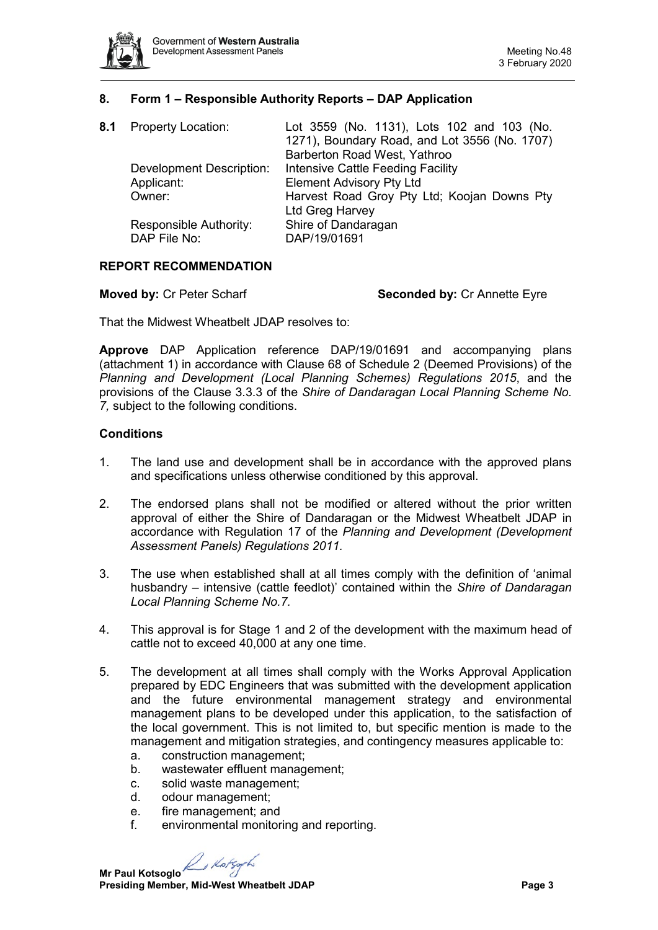

# **8. Form 1 – Responsible Authority Reports – DAP Application**

| 8.1 | <b>Property Location:</b>              | Lot 3559 (No. 1131), Lots 102 and 103 (No.<br>1271), Boundary Road, and Lot 3556 (No. 1707)<br>Barberton Road West, Yathroo |
|-----|----------------------------------------|-----------------------------------------------------------------------------------------------------------------------------|
|     | <b>Development Description:</b>        | Intensive Cattle Feeding Facility                                                                                           |
|     | Applicant:<br>Owner:                   | <b>Element Advisory Pty Ltd</b><br>Harvest Road Groy Pty Ltd; Koojan Downs Pty                                              |
|     |                                        | Ltd Greg Harvey                                                                                                             |
|     | Responsible Authority:<br>DAP File No: | Shire of Dandaragan<br>DAP/19/01691                                                                                         |

# **REPORT RECOMMENDATION**

**Moved by:** Cr Peter Scharf **Seconded by:** Cr Annette Eyre

That the Midwest Wheatbelt JDAP resolves to:

**Approve** DAP Application reference DAP/19/01691 and accompanying plans (attachment 1) in accordance with Clause 68 of Schedule 2 (Deemed Provisions) of the *Planning and Development (Local Planning Schemes) Regulations 2015*, and the provisions of the Clause 3.3.3 of the *Shire of Dandaragan Local Planning Scheme No. 7,* subject to the following conditions.

#### **Conditions**

- 1. The land use and development shall be in accordance with the approved plans and specifications unless otherwise conditioned by this approval.
- 2. The endorsed plans shall not be modified or altered without the prior written approval of either the Shire of Dandaragan or the Midwest Wheatbelt JDAP in accordance with Regulation 17 of the *Planning and Development (Development Assessment Panels) Regulations 2011.*
- 3. The use when established shall at all times comply with the definition of 'animal husbandry – intensive (cattle feedlot)' contained within the *Shire of Dandaragan Local Planning Scheme No.7.*
- 4. This approval is for Stage 1 and 2 of the development with the maximum head of cattle not to exceed 40,000 at any one time.
- 5. The development at all times shall comply with the Works Approval Application prepared by EDC Engineers that was submitted with the development application and the future environmental management strategy and environmental management plans to be developed under this application, to the satisfaction of the local government. This is not limited to, but specific mention is made to the management and mitigation strategies, and contingency measures applicable to:
	- a. construction management;
	- b. wastewater effluent management;
	- c. solid waste management;
	- d. odour management;
	- e. fire management; and
	- f. environmental monitoring and reporting.

B Kotso

**Mr Paul Kotsoglo Presiding Member, Mid-West Wheatbelt JDAP Page 3**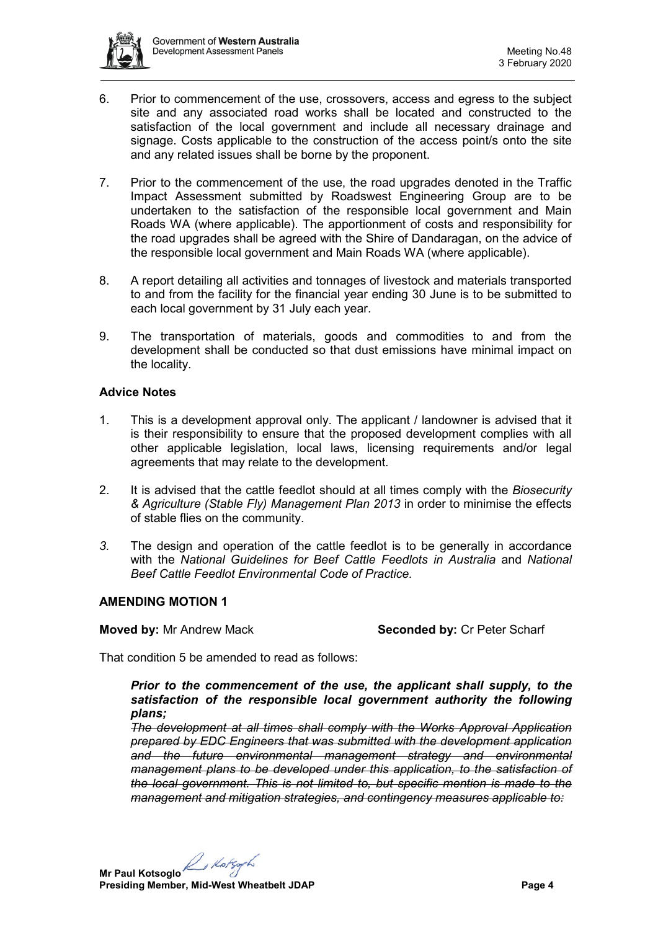

- 6. Prior to commencement of the use, crossovers, access and egress to the subject site and any associated road works shall be located and constructed to the satisfaction of the local government and include all necessary drainage and signage. Costs applicable to the construction of the access point/s onto the site and any related issues shall be borne by the proponent.
- 7. Prior to the commencement of the use, the road upgrades denoted in the Traffic Impact Assessment submitted by Roadswest Engineering Group are to be undertaken to the satisfaction of the responsible local government and Main Roads WA (where applicable). The apportionment of costs and responsibility for the road upgrades shall be agreed with the Shire of Dandaragan, on the advice of the responsible local government and Main Roads WA (where applicable).
- 8. A report detailing all activities and tonnages of livestock and materials transported to and from the facility for the financial year ending 30 June is to be submitted to each local government by 31 July each year.
- 9. The transportation of materials, goods and commodities to and from the development shall be conducted so that dust emissions have minimal impact on the locality.

# **Advice Notes**

- 1. This is a development approval only. The applicant / landowner is advised that it is their responsibility to ensure that the proposed development complies with all other applicable legislation, local laws, licensing requirements and/or legal agreements that may relate to the development.
- 2. It is advised that the cattle feedlot should at all times comply with the *Biosecurity & Agriculture (Stable Fly) Management Plan 2013* in order to minimise the effects of stable flies on the community.
- *3.* The design and operation of the cattle feedlot is to be generally in accordance with the *National Guidelines for Beef Cattle Feedlots in Australia* and *National Beef Cattle Feedlot Environmental Code of Practice.*

#### **AMENDING MOTION 1**

**Moved by: Mr Andrew Mack <b>Seconded by:** Cr Peter Scharf

That condition 5 be amended to read as follows:

*Prior to the commencement of the use, the applicant shall supply, to the satisfaction of the responsible local government authority the following plans;*

*The development at all times shall comply with the Works Approval Application prepared by EDC Engineers that was submitted with the development application and the future environmental management strategy and environmental management plans to be developed under this application, to the satisfaction of the local government. This is not limited to, but specific mention is made to the management and mitigation strategies, and contingency measures applicable to:*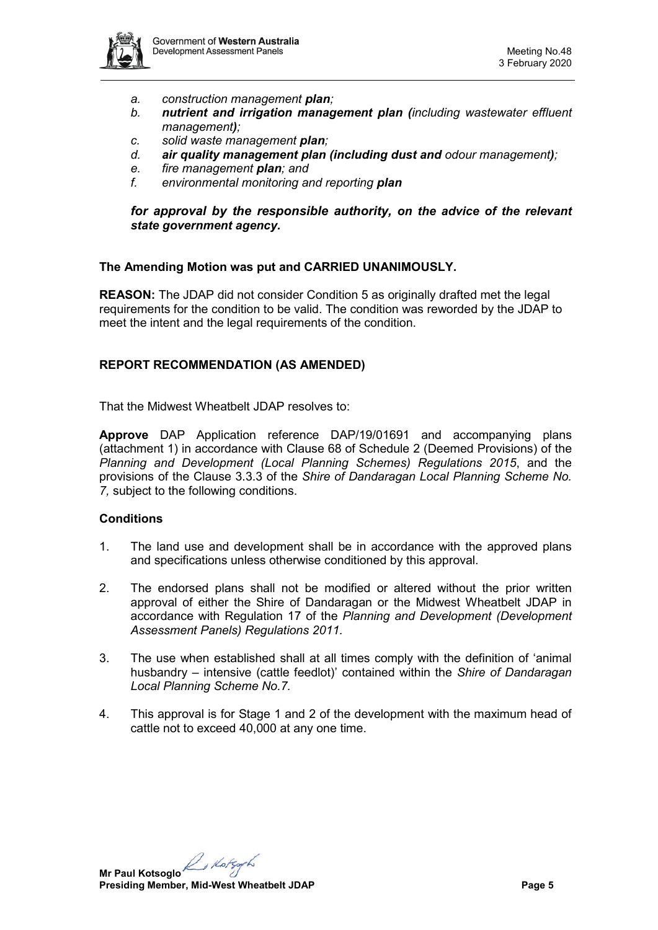

- *a. construction management plan;*
- *b. nutrient and irrigation management plan (including wastewater effluent management);*
- *c. solid waste management plan;*
- *d. air quality management plan (including dust and odour management);*
- *e. fire management plan; and*
- *f. environmental monitoring and reporting plan*

*for approval by the responsible authority, on the advice of the relevant state government agency.*

#### **The Amending Motion was put and CARRIED UNANIMOUSLY.**

**REASON:** The JDAP did not consider Condition 5 as originally drafted met the legal requirements for the condition to be valid. The condition was reworded by the JDAP to meet the intent and the legal requirements of the condition.

#### **REPORT RECOMMENDATION (AS AMENDED)**

That the Midwest Wheatbelt JDAP resolves to:

**Approve** DAP Application reference DAP/19/01691 and accompanying plans (attachment 1) in accordance with Clause 68 of Schedule 2 (Deemed Provisions) of the *Planning and Development (Local Planning Schemes) Regulations 2015*, and the provisions of the Clause 3.3.3 of the *Shire of Dandaragan Local Planning Scheme No. 7,* subject to the following conditions.

#### **Conditions**

- 1. The land use and development shall be in accordance with the approved plans and specifications unless otherwise conditioned by this approval.
- 2. The endorsed plans shall not be modified or altered without the prior written approval of either the Shire of Dandaragan or the Midwest Wheatbelt JDAP in accordance with Regulation 17 of the *Planning and Development (Development Assessment Panels) Regulations 2011.*
- 3. The use when established shall at all times comply with the definition of 'animal husbandry – intensive (cattle feedlot)' contained within the *Shire of Dandaragan Local Planning Scheme No.7.*
- 4. This approval is for Stage 1 and 2 of the development with the maximum head of cattle not to exceed 40,000 at any one time.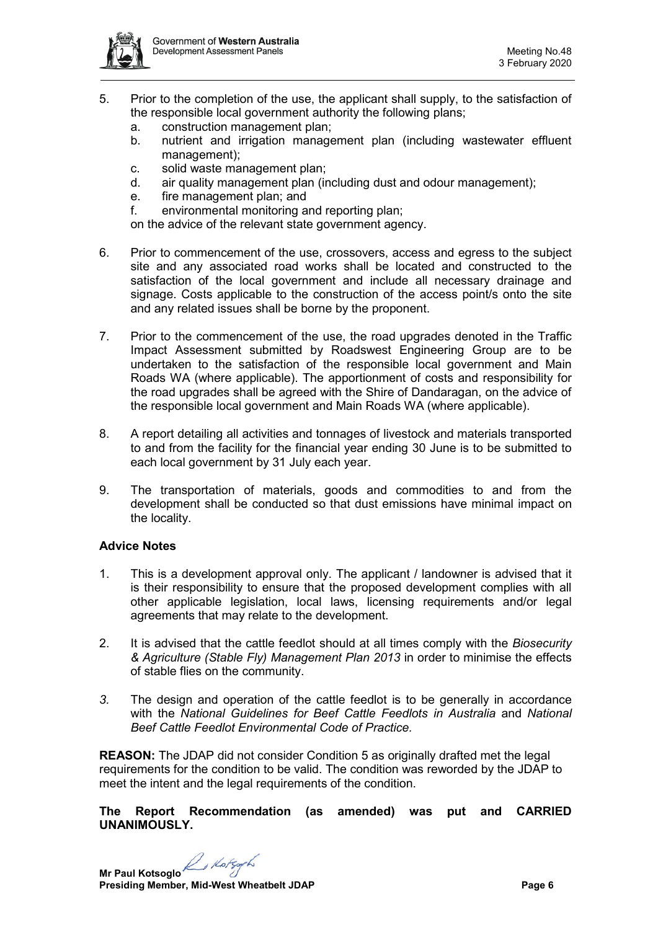

- 5. Prior to the completion of the use, the applicant shall supply, to the satisfaction of the responsible local government authority the following plans;
	- a. construction management plan;
	- b. nutrient and irrigation management plan (including wastewater effluent management);
	- c. solid waste management plan;
	- d. air quality management plan (including dust and odour management);
	- e. fire management plan; and
	- f. environmental monitoring and reporting plan;

on the advice of the relevant state government agency.

- 6. Prior to commencement of the use, crossovers, access and egress to the subject site and any associated road works shall be located and constructed to the satisfaction of the local government and include all necessary drainage and signage. Costs applicable to the construction of the access point/s onto the site and any related issues shall be borne by the proponent.
- 7. Prior to the commencement of the use, the road upgrades denoted in the Traffic Impact Assessment submitted by Roadswest Engineering Group are to be undertaken to the satisfaction of the responsible local government and Main Roads WA (where applicable). The apportionment of costs and responsibility for the road upgrades shall be agreed with the Shire of Dandaragan, on the advice of the responsible local government and Main Roads WA (where applicable).
- 8. A report detailing all activities and tonnages of livestock and materials transported to and from the facility for the financial year ending 30 June is to be submitted to each local government by 31 July each year.
- 9. The transportation of materials, goods and commodities to and from the development shall be conducted so that dust emissions have minimal impact on the locality.

#### **Advice Notes**

- 1. This is a development approval only. The applicant / landowner is advised that it is their responsibility to ensure that the proposed development complies with all other applicable legislation, local laws, licensing requirements and/or legal agreements that may relate to the development.
- 2. It is advised that the cattle feedlot should at all times comply with the *Biosecurity & Agriculture (Stable Fly) Management Plan 2013* in order to minimise the effects of stable flies on the community.
- *3.* The design and operation of the cattle feedlot is to be generally in accordance with the *National Guidelines for Beef Cattle Feedlots in Australia* and *National Beef Cattle Feedlot Environmental Code of Practice.*

**REASON:** The JDAP did not consider Condition 5 as originally drafted met the legal requirements for the condition to be valid. The condition was reworded by the JDAP to meet the intent and the legal requirements of the condition.

**The Report Recommendation (as amended) was put and CARRIED UNANIMOUSLY.**

**Mr Paul Kotsoglo**<br>Presiding **Presiding Member, Mid-West Wheatbelt JDAP Page 6**